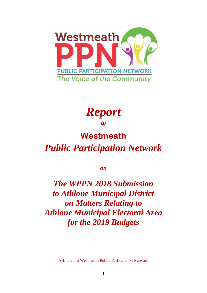



## **Westmeath**  *Public Participation Network*

*on* 

*The WPPN 2018 Submission to Athlone Municipal District on Matters Relating to Athlone Municipal Electoral Area for the 2019 Budgets*

Affiliated to Westmeath Public Participation Network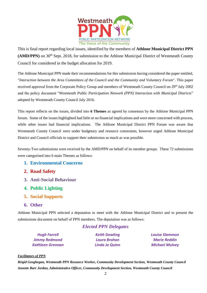

This is final report regarding local issues, identified by the members of **Athlone Municipal District PPN**  (AMD/PPN) on 30<sup>th</sup> Sept. 2018, for submission to the Athlone Municipal District of Westmeath County Council for considered in the budget allocation for 2019.

The Athlone Municipal PPN made their recommendations for this submission having considered the paper entitled, "*Interaction between the Area Committees of the Council and the Community and Voluntary Forum*". This paper received approval from the Corporate Policy Group and members of Westmeath County Council on 29<sup>th</sup> July 2002 and the policy document "*Westmeath Public Participation Network (PPN) Interaction with Municipal Districts*" adopted by Westmeath County Council July 2016.

This report reflects on the issues, divided into **6 Themes** as agreed by consensus by the Athlone Municipal PPN forum. Some of the issues highlighted had little or no financial implications and were more concerned with process, while other issues had financial implications. The Athlone Municipal District PPN Forum was aware that Westmeath County Council were under budgetary and resource constraints, however urged Athlone Municipal District and Council officials to support their submission as much as was possible.

Seventy-Two submissions were received by the AMD/PPN on behalf of its member groups. These 72 submissions were categorised into 6 main Themes as follows:

- **1. Environmental Concerns**
- **2. Road Safety**
- **3. Anti-Social Behaviour**
- **4. Public Lighting**
- **5. Social Supports**
- **6. Other**

Athlone Municipal PPN selected a deputation to meet with the Athlone Municipal District and to present the submissions document on behalf of PPN members. The deputation was as follows:

#### *Elected PPN Delegates*

*Hugh Farrell Keith Dowling Louise Slammon Jimmy Redmond Laura Brohan Marie Reddin Kathleen Grennan Linda Jo Quinn Michael Mulvey*

#### *Facilitators of PPN*

*Brigid Geoghegan, Westmeath PPN Resource Worker, Community Development Section, Westmeath County Council Annette Barr Jordan, Administrative Officer, Community Development Section, Westmeath County Council*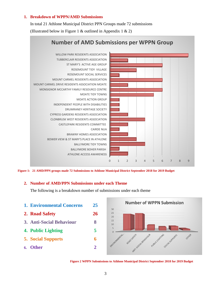#### **1. Breakdown of WPPN/AMD Submissions**

In total 21 Athlone Municipal District PPN Groups made 72 submissions (Illustrated below in Figure 1 & outlined in Appendix 1 & 2)



**Figure 1: 21 AMD/PPN groups made 72 Submissions to Athlone Municipal District September 2018 for 2019 Budget**

#### **2. Number of AMD/PPN Submissions under each Theme**

The following is a breakdown number of submissions under each theme

**1. Environmental Concerns 25 2. Road Safety 26 3. Anti-Social Behaviour 8 4. Public Lighting 5 5. Social Supports 6 6. Other 2**



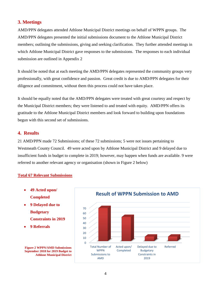#### **3. Meetings**

AMD/PPN delegates attended Athlone Municipal District meetings on behalf of WPPN groups. The AMD/PPN delegates presented the initial submissions document to the Athlone Municipal District members; outlining the submissions, giving and seeking clarification. They further attended meetings in which Athlone Municipal District gave responses to the submissions. The responses to each individual submission are outlined in Appendix 2

It should be noted that at each meeting the AMD/PPN delegates represented the community groups very professionally, with great confidence and passion. Great credit is due to AMD/PPN delegates for their diligence and commitment, without them this process could not have taken place.

It should be equally noted that the AMD/PPN delegates were treated with great courtesy and respect by the Municipal District members; they were listened to and treated with equity. AMD/PPN offers its gratitude to the Athlone Municipal District members and look forward to building upon foundations begun with this second set of submissions.

#### **4. Results**

21 AMD/PPN made 72 Submissions; of these 72 submissions; 5 were not issues pertaining to Westmeath County Council. 49 were acted upon by Athlone Municipal District and 9 delayed due to insufficient funds in budget to complete in 2019; however, may happen when funds are available. 9 were referred to another relevant agency or organisation (shown in Figure 2 below)

#### **Total 67 Relevant Submissions**

- **49 Acted upon/ Completed**
- **9 Delayed due to Budgetary Constraints in 2019**
- **9 Referrals**



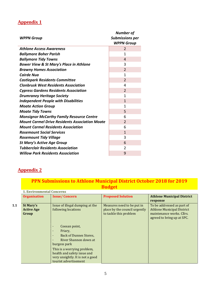## **Appendix 1**

| <b>WPPN Group</b>                                     | <b>Number of</b><br><b>Submissions per</b><br><b>WPPN Group</b> |
|-------------------------------------------------------|-----------------------------------------------------------------|
| <b>Athlone Access Awareness</b>                       | $\overline{2}$                                                  |
| <b>Ballymore Boher Parish</b>                         | 1                                                               |
| <b>Ballymore Tidy Towns</b>                           | 4                                                               |
| <b>Bower View &amp; St Mary's Place in Athlone</b>    | 3                                                               |
| <b>Brawny Homes Association</b>                       | $\overline{2}$                                                  |
| <b>Cairde Nua</b>                                     | 1                                                               |
| <b>Castlepark Residents Committee</b>                 | $\mathcal{P}$                                                   |
| <b>Clonbrusk West Residents Association</b>           | 4                                                               |
| <b>Cypress Gardens Residents Association</b>          | $\overline{2}$                                                  |
| <b>Drumraney Heritage Society</b>                     | 1                                                               |
| <b>Independent People with Disabilities</b>           | $\mathbf{1}$                                                    |
| <b>Moate Action Group</b>                             | 1                                                               |
| <b>Moate Tidy Towns</b>                               | 5                                                               |
| <b>Monsignor McCarthy Family Resource Centre</b>      | 6                                                               |
| <b>Mount Carmel Drive Residents Association Moate</b> | $\overline{2}$                                                  |
| <b>Mount Carmel Residents Association</b>             | 6                                                               |
| <b>Rosemount Social Services</b>                      | $\mathbf{1}$                                                    |
| <b>Rosemount Tidy Village</b>                         | 3                                                               |
| <b>St Mary's Active Age Group</b>                     | 6                                                               |
| <b>Tubberclair Residents Association</b>              | 2                                                               |
| <b>Willow Park Residents Association</b>              | 9                                                               |

### **Appendix 2**

|     | Budget                                  |                                                                                                                                                                                                                                                         |                                                                                       |                                                                                                                            |  |  |  |
|-----|-----------------------------------------|---------------------------------------------------------------------------------------------------------------------------------------------------------------------------------------------------------------------------------------------------------|---------------------------------------------------------------------------------------|----------------------------------------------------------------------------------------------------------------------------|--|--|--|
|     |                                         | <b>1. Environmental Concerns</b>                                                                                                                                                                                                                        |                                                                                       |                                                                                                                            |  |  |  |
|     | <b>Organisation</b>                     | <b>Issue/Concern</b>                                                                                                                                                                                                                                    | <b>Proposed Solution</b>                                                              | <b>Athlone Municipal District</b><br>response                                                                              |  |  |  |
| 1.1 | St Mary's<br><b>Active Age</b><br>Group | Issue of illegal dumping at the<br>following locations                                                                                                                                                                                                  | Measures need to be put in<br>place by the council urgently<br>to tackle this problem | To be addressed as part of<br><b>Athlone Municipal District</b><br>maintenance works. Cllrs.<br>agreed to bring up at SPC. |  |  |  |
|     |                                         | Coosan point,<br>$\bullet$<br>Friary,<br><b>Back of Dunnes Stores,</b><br>$\bullet$<br>River Shannon down at<br>burgess park<br>This is a worrying problem,<br>health and safety issue and<br>very unsightly. It is not a good<br>tourist advertisement |                                                                                       |                                                                                                                            |  |  |  |

# **PPN Submissions to Athlone Municipal District October 2018 for 2019**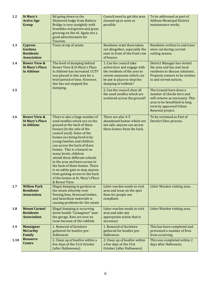| 1.2  | <b>St Mary's</b><br><b>Active Age</b><br>Group                             | Rd going down to the<br><b>Shamrock lodge from Battery</b><br>Bridge is very unsightly with<br>brambles overgrown and grass<br>growing on the rd. Again not a<br>good advertisement for<br>Tourism                                                                                                                                                                                                                                                                                                                                                | Council need to get this area<br>cleaned up as soon as<br>possible                                                                                                        | To be addressed as part of<br><b>Athlone Municipal District</b><br>maintenance works.                                                                                 |
|------|----------------------------------------------------------------------------|---------------------------------------------------------------------------------------------------------------------------------------------------------------------------------------------------------------------------------------------------------------------------------------------------------------------------------------------------------------------------------------------------------------------------------------------------------------------------------------------------------------------------------------------------|---------------------------------------------------------------------------------------------------------------------------------------------------------------------------|-----------------------------------------------------------------------------------------------------------------------------------------------------------------------|
| 1.3  | <b>Cypress</b><br><b>Gardens</b><br><b>Residents</b><br><b>Association</b> | Trees at top of estate                                                                                                                                                                                                                                                                                                                                                                                                                                                                                                                            | Residents want them taken<br>out altogether, especially the<br>ones in front of the front row<br>of houses                                                                | Residents written to and trees<br>were cut during current<br>cutting season.                                                                                          |
| 1.4  | <b>Bower View &amp;</b><br><b>St Mary's Place</b><br>in Athlone            | The level of dumping behind<br>Bower View & St Mary's Place<br>in Athlone has increased. CCTV<br>was placed in this area for a<br>brief period of time. However,<br>this has not stopped the<br>dumping.                                                                                                                                                                                                                                                                                                                                          | 1. Can the council take<br>action here and engage with<br>the residents of the area to<br>review measures which can<br>be put in place to stop the<br>dumping of rubbish? | District Manager has visited<br>the area and has met local<br>residents to discuss solutions.<br>Property owners to be written<br>to and served notices.              |
| 1.5  |                                                                            |                                                                                                                                                                                                                                                                                                                                                                                                                                                                                                                                                   | 2. Can the council clear all<br>the used needles which are<br>scattered across the ground?                                                                                | The Council have done a<br>number of checks here and<br>will remove as necessary. This<br>area to be benefitted in long<br>term by approved Urban<br>Renewal project. |
| 1.6  | <b>Bower View &amp;</b><br><b>St Mary's Place</b><br>in Athlone            | There is also a huge number of<br>used needles which are on the<br>ground at the back of these<br>houses (to the side of the<br>council yard). Some of the<br>homes are being lived in by<br>young families and children<br>can access the back of these<br>homes. This is a hazard on<br>many levels, children<br>attend three different schools<br>in the area and have access to<br>the back of these homes. There<br>is no safety gate to stop anyone<br>from gaining access to the back<br>of the homes at St. Mary's Place<br>& Bower View. | There are also 4-5<br>abandoned homes which are<br>not safe, anyone can access<br>these homes from the back.                                                              | To be reviewed as Part of<br>Derelict Sites process.                                                                                                                  |
| 1.7  | <b>Willow Park</b><br><b>Residents</b><br><b>Association</b>               | Illegal dumping in gardens in<br>the estate whereby over<br>flowing bins, firewood timber,<br>and hazardous materials is<br>causing problems for the estate                                                                                                                                                                                                                                                                                                                                                                                       | Litter warden needs to visit<br>area and issue on the spot<br>fines for people not<br>compliant.                                                                          | Litter Warden visiting area.                                                                                                                                          |
| 1.8  | <b>Mount Carmel</b><br><b>Residents</b><br><b>Association</b>              | Illegal dumping is occurring<br>down beside "Lisnagreer" near<br>the garage. Rats are now an<br>issue because of the rubbish.                                                                                                                                                                                                                                                                                                                                                                                                                     | Litter warden needs to visit<br>area and take any<br>appropriate action that is<br>necessary                                                                              | Litter Warden visiting area.                                                                                                                                          |
| 1.9  | <b>Monsignor</b><br><b>McCarthy</b><br>Family                              | 1. Removal of furniture<br>gathered for bonfire pre-<br>Halloween                                                                                                                                                                                                                                                                                                                                                                                                                                                                                 | 1. Removal of furniture<br>gathered for bonfire pre-<br>Halloween                                                                                                         | This has been completed and<br>prevented a number of fires<br>from occurring.                                                                                         |
| 1.10 | <b>Resource</b><br><b>Centre</b>                                           | 2. Clean up of bonfire within a<br>few days of the 31st October<br>(after Halloweens)                                                                                                                                                                                                                                                                                                                                                                                                                                                             | 2. Clean up of bonfire within<br>a few days of the 31st<br>October (after Halloween)                                                                                      | This was completed within 2<br>days after Halloween.                                                                                                                  |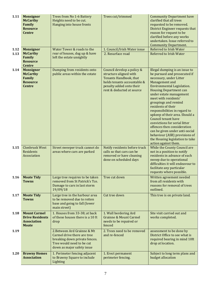| 1.11         | <b>Monsignor</b><br><b>McCarthy</b><br>Family<br><b>Resource</b><br><b>Centre</b>   | Trees from No 1-6 Battery<br>Heights need to be cut.<br>Hanging into house fronts                                                                      | Trees cut/trimmed                                                                                                                                                      | <b>Community Department have</b><br>clarified that all trees<br>requested to be removed.<br>District Engineer requests that<br>reason for request to be<br>clarified before any works<br>undertaken. Issue referred to<br><b>Community Department.</b>                                                                                                                                                                                                                                                                                                              |
|--------------|-------------------------------------------------------------------------------------|--------------------------------------------------------------------------------------------------------------------------------------------------------|------------------------------------------------------------------------------------------------------------------------------------------------------------------------|---------------------------------------------------------------------------------------------------------------------------------------------------------------------------------------------------------------------------------------------------------------------------------------------------------------------------------------------------------------------------------------------------------------------------------------------------------------------------------------------------------------------------------------------------------------------|
| 1.12<br>1.13 | <b>Monsignor</b><br><b>McCarthy</b><br>Family<br><b>Resource</b><br><b>Centre</b>   | Water Tower & roads to the<br>rear of houses, dug up & have<br>left the estate unsightly                                                               | 1. Council/Irish Water issue<br>2. Resurface road                                                                                                                      | <b>Referred to Irish Water</b><br><b>Referred to Irish Water</b>                                                                                                                                                                                                                                                                                                                                                                                                                                                                                                    |
| 1.14         | <b>Monsignor</b><br><b>McCarthy</b><br>Family<br><b>Resource</b><br><b>Centre</b>   | Dumping from residents onto<br>public areas within the estate                                                                                          | Council develop a policy &<br>structure aligned with<br>Tenants Handbook, that<br>holds tenants accountable &<br>penalty added onto their<br>rent & deducted at source | Illegal dumping is an issue to<br>be pursued and prosecuted if<br>necessary, under Litter<br>Management and<br>Environmental Legislation.<br><b>Housing Department can</b><br>under estate management<br>meet with residents'<br>groupings and remind<br>residents of their<br>responsibilities in regard to<br>upkeep of their area. Should a<br>Council tenant have<br>convictions for serial litter<br>offences then consideration<br>can be given under anti-social<br>behaviour (ASB) provisions of<br>the Housing legislation to take<br>action against them. |
| 1.15         | <b>Clonbrusk West</b><br>Residents<br>Association                                   | Street sweeper truck cannot do<br>areas where cars are parked                                                                                          | Notify residents before truck<br>calls so that cars can be<br>removed or have cleaning<br>done on scheduled days                                                       | While the County Council are<br>not in a position to notify<br>residents in advance of each<br>sweep due to operational<br>difficulties it will endeavour to<br>facilitate any particular<br>requests where possible.                                                                                                                                                                                                                                                                                                                                               |
| 1.16         | <b>Moate Tidy</b><br><b>Towns</b>                                                   | Large tree requires to be taken<br>removed from St Patrick's Tce.<br>Damage to cars in last storm<br>19/09/18                                          | Tree cut down                                                                                                                                                          | Written agreement needed<br>from all residents with<br>reasons for removal of trees<br>outlined.                                                                                                                                                                                                                                                                                                                                                                                                                                                                    |
| 1.17         | <b>Moate Tidy</b><br><b>Towns</b>                                                   | Large tree in the harbour area<br>to be removed due to rotten<br>base and going to fall (lower<br>main street)                                         | Cut tree down                                                                                                                                                          | This tree is on private land.                                                                                                                                                                                                                                                                                                                                                                                                                                                                                                                                       |
| 1.18         | <b>Mount Carmel</b><br><b>Drive Residents</b><br><b>Association</b><br><b>Moate</b> | 1. Houses from 33-38; at back<br>of these houses there is a 10 ft<br>drop                                                                              | 1. Wall bordering Ard<br><b>Grainne &amp; Mount Carmel</b><br>needs to be repaired or<br>fenced                                                                        | Site visit carried out and<br>works completed.                                                                                                                                                                                                                                                                                                                                                                                                                                                                                                                      |
| 1.19         |                                                                                     | 2. Between Ard Grainne & Mt<br>Carmel drive there are tree<br>breaking down private fences.<br>Tree would need to be cut<br>down as major safety issue | 2. Trees need to be removed<br>and re-fenced                                                                                                                           | assessment to be done by<br>District Office to see what is<br>required bearing in mind 10ft<br>drop at location.                                                                                                                                                                                                                                                                                                                                                                                                                                                    |
| 1.20         | <b>Brawny Homes</b><br><b>Association</b>                                           | 1. Perimeter fencing adjacent<br>to Brawny Square to include<br>Lighting                                                                               | 1. Erect permanent<br>perimeter fencing.                                                                                                                               | Subject to long term plans and<br>budget allocation                                                                                                                                                                                                                                                                                                                                                                                                                                                                                                                 |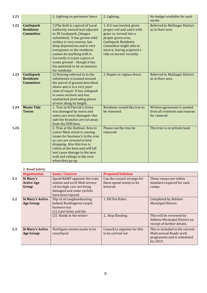| 1.21 |                                                           | 2. Lighting on perimeter fence                                                                                                                                                                                                                                                                                                                                                        | 2. Lighting.                                                                                                                                                                                                                 | No budget available for such<br>works                                         |
|------|-----------------------------------------------------------|---------------------------------------------------------------------------------------------------------------------------------------------------------------------------------------------------------------------------------------------------------------------------------------------------------------------------------------------------------------------------------------|------------------------------------------------------------------------------------------------------------------------------------------------------------------------------------------------------------------------------|-------------------------------------------------------------------------------|
| 1.22 | <b>Castlepark</b><br><b>Residents</b><br><b>Committee</b> | 1) The field is a parcel of Local<br>Authority owned land adjacent<br>to 30 Castlepark, (Images<br>submitted). It has grown wild -<br>surface is very uneven, has<br>deep depressions and is very<br>overgrown so the residents<br>cannot do anything with it.<br>Currently it is just a piece of<br>waste ground - though it has<br>the potential to be an amenity<br>for residents. | 1. If it was leveled, given<br>proper soil and sown with<br>grass i.e. turned into a<br>proper green area,<br><b>Castlepark Residents</b><br>Committee might able to<br>mow it, having acquired a<br>ride on mower recently. | <b>Referred to Mullingar District</b><br>as in their area                     |
| 1.23 | <b>Castlepark</b><br><b>Residents</b><br><b>Committee</b> | 2) Fencing referred to in the<br>submission is located around<br>the parcel of ground described<br>above and is in a very poor<br>state of repair. It has collapsed<br>in some sections and has<br>unattached protruding pieces<br>of wire along its length.                                                                                                                          | 2. Repair or replace fence                                                                                                                                                                                                   | <b>Referred to Mullingar District</b><br>as in their area                     |
| 1.24 | <b>Moate Tidy</b><br><b>Towns</b>                         | 1. Tree in St Patrick's Green<br>was damaged by storm and<br>some cars were damaged. One<br>side the branches are cut away<br>from the ESB lines.                                                                                                                                                                                                                                     | Residents would like tree to<br>be removed.                                                                                                                                                                                  | Written agreement is needed<br>from all residents and reasons<br>for removal. |
| 1.25 |                                                           | 2. Tree at the Harbour Area in<br>Lower Main street is causing<br>issues for business's in the area<br>as cars are covered in bird<br>dropping. Also this tree is<br>rotten at the base and will fall<br>and cause damage to the new<br>wall and railings in the area<br>when they go up.                                                                                             | Please can the tree be<br>removed                                                                                                                                                                                            | This tree is on private land.                                                 |

#### **2. Road Safety**

| <b>Organisation</b>     | <b>Issue/Concern</b>           | <b>Proposed Solution</b>                               |                                 |
|-------------------------|--------------------------------|--------------------------------------------------------|---------------------------------|
| St Mary's               | Speed RAMP opposite the train  | Can the council arrange for                            | These ramps are within          |
| <b>Active Age</b>       | station and on St Mels terrace | these speed ramps to be                                | standard required for such      |
| Group                   | rd too high, cars are being    | lowered                                                | ramps.                          |
|                         |                                |                                                        |                                 |
|                         | have been injured              |                                                        |                                 |
| <b>St Mary's Active</b> | Slip rd at Loughandunning      | 1. Fill Pot Holes                                      | Completed by Athlone            |
| <b>Age Group</b>        |                                |                                                        | Municipal District.             |
|                         | business has                   |                                                        |                                 |
|                         | (1) 2 pot holes and the        |                                                        |                                 |
|                         | (2) floods in the winter       | 2. Stop flooding                                       | This will be reviewed by        |
|                         |                                |                                                        | Athlone Municipal District on   |
|                         |                                |                                                        | receipt of further details.     |
| <b>St Mary's Active</b> | Northgate streets needs to be  | Council to organise for this                           | This is included in the current |
| <b>Age Group</b>        | resurfaced                     | to be carried out                                      | Multi annual Roads work         |
|                         |                                |                                                        | programme and is scheduled      |
|                         |                                |                                                        | for 2019.                       |
|                         |                                | damaged and some cyclists<br>behind Reddingtons carpet |                                 |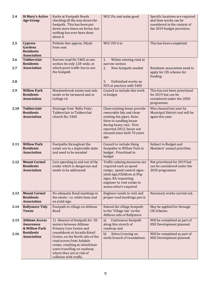| 2.4        | <b>St Mary's Active</b><br><b>Age Group</b>                                | Kerbs at Footpath Needs<br>checking all the way down the<br>footpath. This has been put<br>down more times on forms, but<br>nothing has ever been done<br>about it                                                     | WCC Fix and make good                                                                                                                                                                                          | Specific locations are required<br>and then works can be<br>considered in the context of<br>the 2019 budget provision. |
|------------|----------------------------------------------------------------------------|------------------------------------------------------------------------------------------------------------------------------------------------------------------------------------------------------------------------|----------------------------------------------------------------------------------------------------------------------------------------------------------------------------------------------------------------|------------------------------------------------------------------------------------------------------------------------|
| 2.5        | <b>Cypress</b><br><b>Gardens</b><br><b>Residents</b><br><b>Association</b> | Pothole One approx. 50yds<br>from seat                                                                                                                                                                                 | WCC Fill it in                                                                                                                                                                                                 | This has been completed.                                                                                               |
| 2.6<br>2.7 | <b>Tubberclair</b><br><b>Residents</b><br><b>Association</b>               | Narrow road No 5465 at one<br>section its only 12ft wide; at<br>which point traffic has to use<br>the footpath                                                                                                         | 1.<br>Widen existing road at<br>narrow section<br>New footpath needed<br>2.                                                                                                                                    | Residents association need to<br>apply for CIS scheme for<br>funding.                                                  |
| 2.8        |                                                                            |                                                                                                                                                                                                                        | Unfinished works on<br>3.<br>N55 at junction with 5465                                                                                                                                                         |                                                                                                                        |
| 2.9        | <b>Willow Park</b><br><b>Residents</b><br><b>Association</b>               | Meadowbrook estate east side<br>needs to be tarmaced and at<br>College rd                                                                                                                                              | Council to include this work<br>in budget                                                                                                                                                                      | This has not been prioritized<br>for 2019 but can be<br>considered under the 2020<br>programme.                        |
| 2.10       | <b>Tubberclair</b><br><b>Residents</b><br><b>Association</b>               | Drainage from 'Bella Vista',<br>Tubberclair to Tubberclair<br>church No: 5465                                                                                                                                          | Clean existing boxes provide<br>removable lids and clean<br>existing 6in pipes. Note:<br>Have to sandbag house<br>during heavy rain. First<br>reported 2012; boxes not<br>cleaned since built 70 years<br>ago. | Was cleaned last year by<br>Municipal District and will be<br>again this year.                                         |
| 2.11       | <b>Willow Park</b><br><b>Residents</b><br><b>Association</b>               | Footpaths throughout the<br>estate are in a deplorable state<br>and need to be mended                                                                                                                                  | Council to include fixing<br>footpaths in Willow Park in<br>budget. Prioritised in<br>budget                                                                                                                   | Subject to Budget and<br>Members' annual priorities.                                                                   |
| 2.12       | <b>Mount Carmel</b><br><b>Residents</b><br><b>Association</b>              | Cars speeding in and out of the<br>estate which is dangerous and<br>needs to be addressed                                                                                                                              | Traffic calming measures are<br>required such as speed<br>ramps, speed control signs-<br>yield sign/Children at Play<br>signs. RA requesting<br>engineer to visit estate to<br>assess what's required          | Not prioritized for 2019 but<br>can be considered under the<br>2020 programme                                          |
| 2.13       | <b>Mount Carmel</b><br><b>Residents</b><br><b>Association</b>              | No adequate Road markings in<br>the estate : i.e. white lines and<br>no yield sign                                                                                                                                     | Engineer needs to visit and<br>proper road markings put in                                                                                                                                                     | Necessary works carried out.                                                                                           |
| 2.14       | <b>Ballymore Tidy</b><br><b>Towns</b>                                      | Footpath to village on Athlone<br>Road                                                                                                                                                                                 | Extend the village footpath<br>to the 'Village Inn' on the<br>Athlone side of Ballymore                                                                                                                        | May be applied for through<br>CIS Scheme.                                                                              |
| 2.15       | <b>Athlone Access</b><br><b>Awareness</b><br>& Willow Park                 | 1) Absence of footpath for 50<br>meters between Athlone<br>Primary Care Centre and                                                                                                                                     | Continuous footpath<br>a)<br>along this stretch of<br>roadway and                                                                                                                                              | Will be completed as part of<br>HSE Development planned.                                                               |
| 2.16       | <b>Residents</b><br><b>Association</b>                                     | roundabout at Arcadia Retail<br>Centre, on the North side of the<br>road across from Ashdale<br>estate, resulting in wheelchair<br>users travelling on roadway<br>where they are at risk of<br>collision with traffic. | Zebra Crossing on<br>b)<br>north branch of roundabout.                                                                                                                                                         | Will be completed as part of<br>HSE Development planned.                                                               |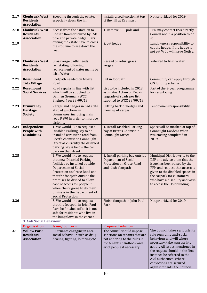| 2.17 | <b>Clonbrusk West</b><br><b>Residents</b><br><b>Association</b>                     | Speeding through the estate,<br>especially down the hill                                                                                                                                                                                                                                                                                                 | Install raised junction at top<br>of the hill at ESB mast                                                                                           | Not prioritized for 2019.                                                                                                                                                                                                                                          |
|------|-------------------------------------------------------------------------------------|----------------------------------------------------------------------------------------------------------------------------------------------------------------------------------------------------------------------------------------------------------------------------------------------------------------------------------------------------------|-----------------------------------------------------------------------------------------------------------------------------------------------------|--------------------------------------------------------------------------------------------------------------------------------------------------------------------------------------------------------------------------------------------------------------------|
| 2.18 | <b>Clonbrusk West</b><br><b>Residents</b><br><b>Association</b>                     | Access from the estate on to<br>Coosan Road obscured by ESB<br>pole and private hedge. Cars                                                                                                                                                                                                                                                              | 1. Remove ESB pole and                                                                                                                              | PPN may contact ESB directly.<br>Council not in a position to do<br>SO.                                                                                                                                                                                            |
| 2.19 |                                                                                     | exiting the estate have to cross<br>the stop line to see down the<br>road.                                                                                                                                                                                                                                                                               | 2. cut hedge                                                                                                                                        | Landowners responsibility to<br>cut the hedge. If the hedge is<br>not cut WCC will issue Notice.                                                                                                                                                                   |
| 2.20 | <b>Clonbrusk West</b><br><b>Residents</b><br><b>Association</b>                     | Grass verge badly needs<br>reinstating following<br>replacement of water mains by<br><b>Irish Water</b>                                                                                                                                                                                                                                                  | Reseed or returf grass<br>verges                                                                                                                    | Referred to Irish Water                                                                                                                                                                                                                                            |
| 2.21 | Rosemount<br><b>Tidy Village</b>                                                    | Footpath needed on Moate<br>Road                                                                                                                                                                                                                                                                                                                         | Put in footpath                                                                                                                                     | Community can apply through<br>CIS funding scheme.                                                                                                                                                                                                                 |
| 2.22 | <b>Rosemount</b><br><b>Social Services</b>                                          | Road repairs in line with list<br>which will be supplied to<br>Damien Grennan (WCC<br>Engineer) on 28/09/18                                                                                                                                                                                                                                              | List to be included in 2018<br>estimates Action or Repair,<br>upgrade of roads per list<br>supplied to WCC 28/09/18                                 | Part of the 3-year programme<br>for resurfacing.                                                                                                                                                                                                                   |
| 2.23 | <b>Drumraney</b><br>Heritage<br><b>Society</b>                                      | Verges and hedges in bad state<br>at road junctions in<br>Drumraney, including main<br>road R390 in order to improve<br>visibility                                                                                                                                                                                                                       | Cutting back of hedges and<br>mowing of verges                                                                                                      | Landowners responsibility.                                                                                                                                                                                                                                         |
| 2.24 | Independent<br>People with<br><b>Disabilities</b>                                   | 1. We would like to request a<br>Disabled Parking Bay to be<br>installed across the road from<br>Brett's chemist on Connaught<br>Street as currently the disabled<br>parking bay is below the car<br>park on that street.                                                                                                                                | 1. Install Disabled Parking<br>bay at Brett's Chemist in<br><b>Connaught Street</b>                                                                 | Space will be marked at top of<br>Connaught Gardens when<br>resurfacing completed in<br>2019.                                                                                                                                                                      |
| 2.25 |                                                                                     | 2. We would like to request<br>that new Disabled Parking<br>facilities be installed outside<br><b>Department of Social</b><br>Protection on Grace Road and<br>that the footpath outside the<br>premises be dished to allow<br>ease of access for people in<br>wheelchairs going to do their<br>business in the Department of<br><b>Social Protection</b> | 2. Install parking bay outside<br><b>Department of Social</b><br>Protection on Grace Road<br>and 'dish' footpath                                    | Municipal District write to the<br>DSP and advise them that the<br>issue has been raised by the<br>PPN and request that access is<br>given to the disabled spaces in<br>the carpark for customers<br>who have a disability and wish<br>to access the DSP building. |
| 2.26 |                                                                                     | 3. We would like to request<br>that the footpath in John Paul<br>Park be finished off as it is not<br>safe for residents who live in<br>the bungalows in the corner                                                                                                                                                                                      | Finish footpath in John Paul<br>Park                                                                                                                | Not prioritized for 2019.                                                                                                                                                                                                                                          |
|      | <b>3. Anti Social Behaviour</b>                                                     |                                                                                                                                                                                                                                                                                                                                                          |                                                                                                                                                     |                                                                                                                                                                                                                                                                    |
| 3.1  | <b>Organisation</b><br><b>Willow Park</b><br><b>Residents</b><br><b>Association</b> | <b>Issue/Concern</b><br>LA tenants engaging in anti-<br>social behaviour such as drug<br>dealing, fighting, loitering etc                                                                                                                                                                                                                                | <b>Proposed Solution</b><br>The council should impose<br>sanctions on tenants that are<br>not adhering to the rules in<br>the tenant's handbook and | The Council takes seriously its<br>role regarding anti-social<br>behaviour and will where<br>necessary, take appropriate                                                                                                                                           |
|      |                                                                                     |                                                                                                                                                                                                                                                                                                                                                          | evict people if necessary                                                                                                                           | action. All issues mentioned in<br>the request should in the first<br>instance be referred to the<br>civil authorities. Where<br>convictions are secured<br>against tenants, the Council                                                                           |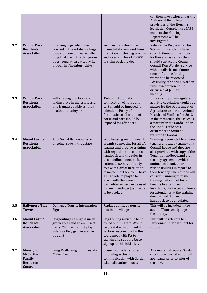|     |                                                                                   |                                                                                                                                                                                                  |                                                                                                                                                                                                                                                                                                                                                                                                                           | can then take action under the<br>Anti-Social Behaviour<br>provisions of the Housing<br>legislation.Complaints of ASB<br>made to the Housing<br>Department will be<br>investigated.                                                                                                                                                                                                                                                                                                                           |
|-----|-----------------------------------------------------------------------------------|--------------------------------------------------------------------------------------------------------------------------------------------------------------------------------------------------|---------------------------------------------------------------------------------------------------------------------------------------------------------------------------------------------------------------------------------------------------------------------------------------------------------------------------------------------------------------------------------------------------------------------------|---------------------------------------------------------------------------------------------------------------------------------------------------------------------------------------------------------------------------------------------------------------------------------------------------------------------------------------------------------------------------------------------------------------------------------------------------------------------------------------------------------------|
| 3.2 | <b>Willow Park</b><br><b>Residents</b><br><b>Association</b>                      | Roaming dogs which are un<br>leashed in the estate is a huge<br>cause for concern, especially<br>dogs that are in the dangerous<br>dogs regulation category, i.e.<br>pit-bull in Thornbury drive | Such animals should be<br>immediately removed from<br>the estate by the dog warden<br>and a reclaim fee of 250.00<br>to claim back the dog                                                                                                                                                                                                                                                                                | Referred to Dog Warden for<br>Site visit. If residents have<br>specific times and locations<br>for these occurrences they<br>should contact the County<br>Council Dog Warden service<br>with details. Issue of more<br>time in Athlone for dog<br>warden to be reviewed.<br>Possibility of Sharing Warden<br>with Roscommon Co Co.<br>discussed at January PPN<br>meeting                                                                                                                                     |
| 3.3 | <b>Willow Park</b><br><b>Residents</b><br><b>Association</b>                      | Sulky racing practices are<br>taking place in the estate and<br>this is unacceptable as it is a<br>health and safety issue                                                                       | Policy of Automatic<br>confiscation of horse and<br>cart should be imposed for<br>offenders. Policy of<br>Automatic confiscation of<br>horse and cart should be<br>imposed for offenders.                                                                                                                                                                                                                                 | Sulky racing an unregulated<br>activity. Regulation would be a<br>matter for the Department of<br>Agriculture under the Animal<br>Health and Welfare Act 2013.<br>In the meantime, the issues is<br>a matter for the Garda under<br>the Road Traffic Acts. All<br>occurrences should be<br>referred to Gardai.                                                                                                                                                                                                |
| 3.4 | <b>Mount Carmel</b><br><b>Residents</b><br><b>Association</b>                     | Anti Social Behaviour is an<br>ongoing issue in the estate                                                                                                                                       | WCC housing section need to<br>organise a meeting for all LA<br>tenants and provide training<br>with regard to the tenant's<br>handbook and the rules in<br>this handbook need to be<br>enforced. RA have already<br>met with Gardai in relation<br>to matters but feel WCC have<br>a huge role to play to help<br>assist with this issue-<br>Carmelite centre can be used<br>for any meetings-just needs<br>to be booked | Training is provided to all new<br>tenants allocated tenancy of a<br>Council house and they are<br>also provided with copy of the<br>Tenant's handbook and their<br>tenancy agreement which<br>outlines in detail, their<br>responsibilities in regard to<br>their tenancy. The Council will<br>consider running refresher<br>training, but cannot force<br>tenants to attend and<br>invariably, the target audience<br>for attendance at the training<br>don't attend. Tenancy<br>handbook to be circulated. |
| 3.5 | <b>Ballymore Tidy</b><br><b>Towns</b>                                             | Damaged Tourist Information<br>Sign                                                                                                                                                              | Replace damaged tourist<br>info in the village                                                                                                                                                                                                                                                                                                                                                                            | This will be included in the<br>audit of Tourism signage in<br>the County.                                                                                                                                                                                                                                                                                                                                                                                                                                    |
| 3.6 | <b>Mount Carmel</b><br><b>Residents</b><br><b>Association</b>                     | Dog fouling is a huge issue in<br>green areas and so are insect<br>nests. Children cannot play<br>safely as they get covered in<br>dog dirt                                                      | Dog Fouling initiative to be<br>rolled out in estate. Would<br>be great if environmental<br>section responsible for this<br>could meet with RA to<br>explain and support RA to<br>sign up to this initiative.                                                                                                                                                                                                             | This will be referred to<br><b>Environment Department for</b><br>support.                                                                                                                                                                                                                                                                                                                                                                                                                                     |
| 3.7 | <b>Monsignor</b><br><b>McCarthy</b><br>Family<br><b>Resource</b><br><b>Centre</b> | Drug Trafficking within estate<br>**New Tenants                                                                                                                                                  | Council consider stricter<br>screening & closer<br>communication with Gardai<br>when allocating houses                                                                                                                                                                                                                                                                                                                    | As a matter of course, Garda<br>checks are carried out on all<br>applicants prior to offer of<br>tenancy.                                                                                                                                                                                                                                                                                                                                                                                                     |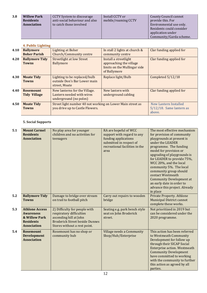| 3.8 | <b>Willow Park</b><br><b>Residents</b><br><b>Association</b> | CCTV System to discourage<br>anti-social behaviour and also<br>to catch those involved | Install CCTV or<br>mobile/roaming CCTV | County Council cannot<br>provide this. For<br>Environmental use only.<br>Residents could consider<br>application under |
|-----|--------------------------------------------------------------|----------------------------------------------------------------------------------------|----------------------------------------|------------------------------------------------------------------------------------------------------------------------|
|     |                                                              |                                                                                        |                                        | Community/Garda scheme.                                                                                                |

#### **4. Public Lighting**

| 4.10 | <b>Ballymore</b>                        | <b>Lighting at Boher</b>                                                                      | In stall 2 lights at church &                                                                    | Clar funding applied for                                       |
|------|-----------------------------------------|-----------------------------------------------------------------------------------------------|--------------------------------------------------------------------------------------------------|----------------------------------------------------------------|
|      | <b>Boher Parish</b>                     | <b>Church/Community centre</b>                                                                | community centre                                                                                 |                                                                |
| 4.20 | <b>Ballymore Tidy</b><br><b>Towns</b>   | <b>Streetlight at low Street</b><br>Ballymore                                                 | Install a streetlight<br>approaching the village<br>limits on the Mullingar side<br>of Ballymore | Clar funding applied for                                       |
| 4.30 | <b>Moate Tidy</b><br><b>Towns</b>       | Lighting to be replaced/bulb<br>outside Don's Bar Lower main<br>street, Moate                 | Replace light/Bulb                                                                               | Completed 5/12/18                                              |
| 4.40 | <b>Rosemount</b><br><b>Tidy Village</b> | New lanterns for the Village.<br>Lantern needed with wires<br>underground (no poles)          | New lantern with<br>underground cabling                                                          | Clar funding applied for                                       |
| 4.50 | <b>Moate Tidy</b><br><b>Towns</b>       | Street light number 40 not working on Lower Main street as<br>you drive up to Castle Flowers. |                                                                                                  | New Lantern Installed<br>$5/12/18$ . Same lantern as<br>above. |

#### **5. Social Supports**

| 5.1 | <b>Mount Carmel</b><br><b>Residents</b><br><b>Association</b>                                        | No play area for younger<br>children and no activities for<br>teenagers                                                                                      | RA are hopeful of WCC<br>support with regard to any<br>funding applications<br>submitted in respect of<br>recreational facilities in the<br>area | The most effective mechanism<br>for provision of community<br>playgrounds at present is<br>under the LEADER<br>programme. The funding<br>model for provision or<br>upgrading of playgrounds is<br>for LEADER to provide 75%,<br>WCC 20%, and the local<br>community 5%. The local<br>community group should<br>contact Westmeath<br><b>Community Development at</b><br>an early date in order to<br>advance this project. Already<br>in place |
|-----|------------------------------------------------------------------------------------------------------|--------------------------------------------------------------------------------------------------------------------------------------------------------------|--------------------------------------------------------------------------------------------------------------------------------------------------|-----------------------------------------------------------------------------------------------------------------------------------------------------------------------------------------------------------------------------------------------------------------------------------------------------------------------------------------------------------------------------------------------------------------------------------------------|
| 5.2 | <b>Ballymore Tidy</b><br><b>Towns</b>                                                                | Damage to bridge over stream<br>on trail to football pitch                                                                                                   | Carry out repairs to wooden<br>bridge                                                                                                            | <b>Private Property. Athlone</b><br><b>Municipal District cannot</b><br>complete these works.                                                                                                                                                                                                                                                                                                                                                 |
| 5.3 | <b>Athlone Access</b><br><b>Awareness</b><br>& Willow Park<br><b>Residents</b><br><b>Association</b> | 2) Difficulty for people with<br>respiratory difficulties<br>ascending hill at John<br><b>Broderick Street beside Dunnes</b><br>Stores without a rest point. | Seating e.g. park bench style<br>seat on John Broderick<br>street.                                                                               | Not prioritized in 2019 but<br>can be considered under the<br>2020 programme.                                                                                                                                                                                                                                                                                                                                                                 |
| 5.4 | <b>Rosemount</b><br><b>Development</b><br><b>Association</b>                                         | Rosemount has no shop or<br>community hub                                                                                                                    | Village needs a Community<br>Shop/Hub/Enterprise                                                                                                 | This action has been referred<br>to Westmeath Community<br>Development for follow up<br>through their SICAP Social<br>Enterprise action. Westmeath<br><b>Community Development</b><br>have committed to working<br>with the community to further<br>this action as agreed by all<br>parties.                                                                                                                                                  |